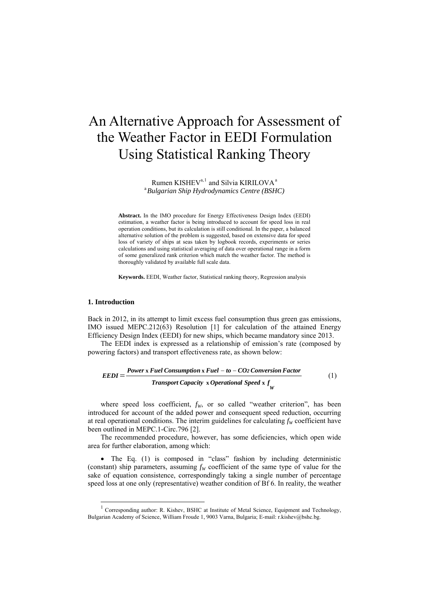# An Alternative Approach for Assessment of the Weather Factor in EEDI Formulation Using Statistical Ranking Theory

Rumen KISHEV<sup>a, [1](#page-0-0)</sup> and Silvia KIRILOVA<sup>a</sup> a *Bulgarian Ship Hydrodynamics Centre (BSHC)* 

**Abstract.** In the IMO procedure for Energy Effectiveness Design Index (EEDI) estimation, a weather factor is being introduced to account for speed loss in real operation conditions, but its calculation is still conditional. In the paper, a balanced alternative solution of the problem is suggested, based on extensive data for speed loss of variety of ships at seas taken by logbook records, experiments or series calculations and using statistical averaging of data over operational range in a form of some generalized rank criterion which match the weather factor. The method is thoroughly validated by available full scale data.

**Keywords.** EEDI, Weather factor, Statistical ranking theory, Regression analysis

## **1. Introduction**

-

Back in 2012, in its attempt to limit excess fuel consumption thus green gas emissions, IMO issued MEPC.212(63) Resolution [1] for calculation of the attained Energy Efficiency Design Index (EEDI) for new ships, which became mandatory since 2013.

The EEDI index is expressed as a relationship of emission's rate (composed by powering factors) and transport effectiveness rate, as shown below:

$$
EEDI = \frac{Power \times Fuel \ Consortium \times Fuel - to - CO2 \ Conversion \ Factor}{Transport \ Capacity \ x \ Operational \ Speed \ x \ f_{\gamma}} \tag{1}
$$

where speed loss coefficient,  $f_w$ , or so called "weather criterion", has been introduced for account of the added power and consequent speed reduction, occurring at real operational conditions. The interim guidelines for calculating  $f_W$  coefficient have been outlined in MEPC.1-Circ.796 [2].

The recommended procedure, however, has some deficiencies, which open wide area for further elaboration, among which:

• The Eq. (1) is composed in "class" fashion by including deterministic (constant) ship parameters, assuming  $f_W$  coefficient of the same type of value for the sake of equation consistence, correspondingly taking a single number of percentage speed loss at one only (representative) weather condition of Bf 6. In reality, the weather

<span id="page-0-0"></span><sup>&</sup>lt;sup>1</sup> Corresponding author: R. Kishev, BSHC at Institute of Metal Science, Equipment and Technology, Bulgarian Academy of Science, William Froude 1, 9003 Varna, Bulgaria; E-mail: r.kishev@bshc.bg.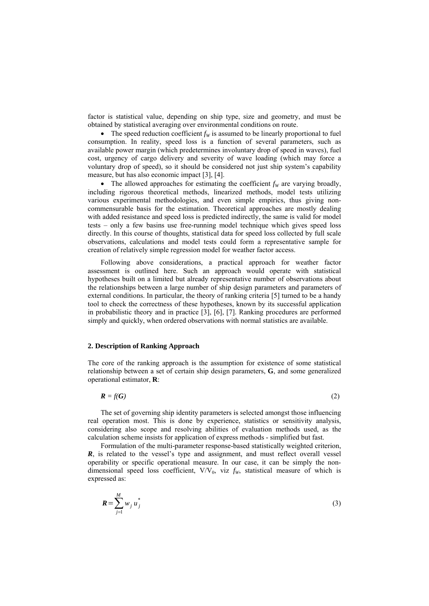factor is statistical value, depending on ship type, size and geometry, and must be obtained by statistical averaging over environmental conditions on route.

• The speed reduction coefficient  $f_W$  is assumed to be linearly proportional to fuel consumption. In reality, speed loss is a function of several parameters, such as available power margin (which predetermines involuntary drop of speed in waves), fuel cost, urgency of cargo delivery and severity of wave loading (which may force a voluntary drop of speed), so it should be considered not just ship system's capability measure, but has also economic impact [3], [4].

• The allowed approaches for estimating the coefficient  $f_W$  are varying broadly, including rigorous theoretical methods, linearized methods, model tests utilizing various experimental methodologies, and even simple empirics, thus giving noncommensurable basis for the estimation. Theoretical approaches are mostly dealing with added resistance and speed loss is predicted indirectly, the same is valid for model tests – only a few basins use free-running model technique which gives speed loss directly. In this course of thoughts, statistical data for speed loss collected by full scale observations, calculations and model tests could form a representative sample for creation of relatively simple regression model for weather factor access.

Following above considerations, a practical approach for weather factor assessment is outlined here. Such an approach would operate with statistical hypotheses built on a limited but already representative number of observations about the relationships between a large number of ship design parameters and parameters of external conditions. In particular, the theory of ranking criteria [5] turned to be a handy tool to check the correctness of these hypotheses, known by its successful application in probabilistic theory and in practice [3], [6], [7]. Ranking procedures are performed simply and quickly, when ordered observations with normal statistics are available.

## **2. Description of Ranking Approach**

The core of the ranking approach is the assumption for existence of some statistical relationship between a set of certain ship design parameters, **G**, and some generalized operational estimator, **R**:

 $R = f(G)$  (2)

The set of governing ship identity parameters is selected amongst those influencing real operation most. This is done by experience, statistics or sensitivity analysis, considering also scope and resolving abilities of evaluation methods used, as the calculation scheme insists for application of express methods - simplified but fast.

Formulation of the multi-parameter response-based statistically weighted criterion, *R*, is related to the vessel's type and assignment, and must reflect overall vessel operability or specific operational measure. In our case, it can be simply the nondimensional speed loss coefficient,  $V/V_0$ , viz  $f_W$ , statistical measure of which is expressed as:

$$
\boldsymbol{R} = \sum_{j=1}^{M} w_j \boldsymbol{u}_j^* \tag{3}
$$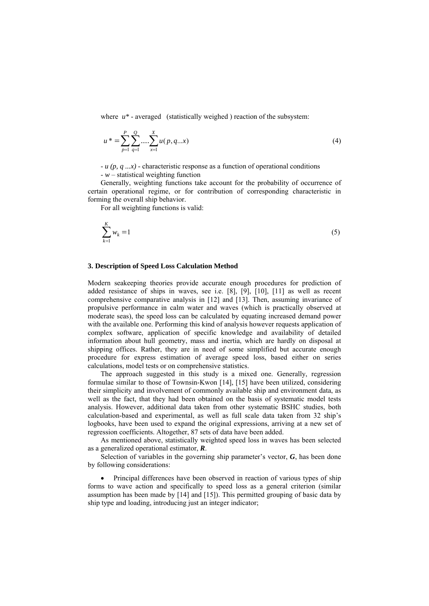where  $u^*$  - averaged (statistically weighed) reaction of the subsystem:

$$
u^* = \sum_{p=1}^P \sum_{q=1}^Q \dots \sum_{x=1}^X u(p, q \dots x)
$$
 (4)

 $u(p, q ... x)$  - characteristic response as a function of operational conditions - *w* – statistical weighting function

Generally, weighting functions take account for the probability of occurrence of cert ain operational regime, or for contribution of corresponding characteristic in forming the overall ship behavior.

For all weighting functions is valid:

$$
\sum_{k=1}^{K} w_k = 1 \tag{5}
$$

## **3. Description of Speed Loss Calculation Method**

Modern seakeeping theories provide accurate enough procedures for prediction of added resistance of ships in waves, see i.e. [8], [9], [10], [11] as well as recent comprehensive comparative analysis in [12] and [13]. Then, assuming invariance of propulsive performance in calm water and waves (which is practically observed at moderate seas), the speed loss can be calculated by equating increased demand power with the available one. Performing this kind of analysis however requests application of complex software, application of specific knowledge and availability of detailed information about hull geometry, mass and inertia, which are hardly on disposal at shipping offices. Rather, they are in need of some simplified but accurate enough procedure for express estimation of average speed loss, based either on series calculations, model tests or on comprehensive statistics.

The approach suggested in this study is a mixed one. Generally, regression form ulae similar to those of Townsin-Kwon [14], [15] have been utilized, considering their simplicity and involvement of commonly available ship and environment data, as well as the fact, that they had been obtained on the basis of systematic model tests analysis. However, additional data taken from other systematic BSHC studies, both calculation-based and experimental, as well as full scale data taken from 32 ship's logbooks, have been used to expand the original expressions, arriving at a new set of regression coefficients. Altogether, 87 sets of data have been added.

As mentioned above, statistically weighted speed loss in waves has been selected as a generalized operational estimator, *R*.

Selection of variables in the governing ship parameter's vector,  $G$ , has been done by f ollowing considerations:

• Principal differences have been observed in reaction of various types of ship forms to wave action and specifically to speed loss as a general criterion (similar assumption has been made by [14] and [15]). This permitted grouping of basic data by ship type and loading, introducing just an integer indicator;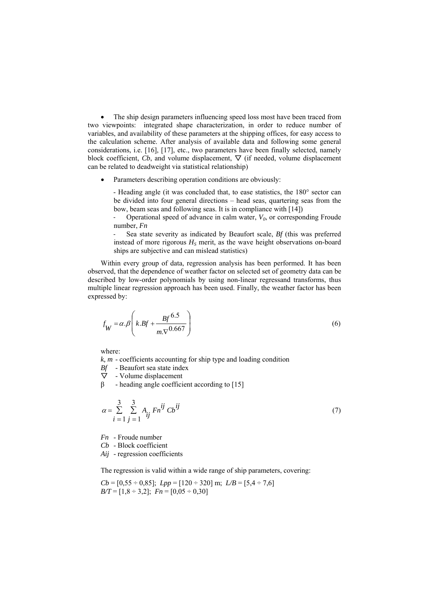The ship design parameters influencing speed loss most have been traced from two viewpoints: integrated shape characterization, in order to reduce number of variables, and availability of these parameters at the shipping offices, for easy access to the calculation scheme. After analysis of available data and following some general considerations, i.e. [16], [17], etc., two parameters have been finally selected, namely block coefficient,  $Cb$ , and volume displacement,  $\nabla$  (if needed, volume displacement can be related to deadweight via statistical relationship)

Parameters describing operation conditions are obviously:

- Heading angle (it was concluded that, to ease statistics, the 180° sector can be divided into four general directions – head seas, quartering seas from the bow, beam seas and following seas. It is in compliance with [14])

Operational speed of advance in calm water,  $V_0$ , or corresponding Froude number, *Fn*

‐ Sea state severity as indicated by Beaufort scale, *Bf* (this was preferred instead of more rigorous  $H<sub>S</sub>$  merit, as the wave height observations on-board ships are subjective and can mislead statistics)

Within every group of data, regression analysis has been performed. It has been observed, that the dependence of weather factor on selected set of geometry data can be described by low-order polynomials by using non-linear regressand transforms, thus multiple linear regression approach has been used. Finally, the weather factor has been expressed by:

$$
f_W = \alpha \cdot \beta \left( k \cdot Bf + \frac{Bf^{6.5}}{m \cdot \nabla^{0.667}} \right) \tag{6}
$$

where:

*k, m* - coefficients accounting for ship type and loading condition

*Bf* - Beaufort sea state index

 $\nabla$  - Volume displacement

 $β$  - heading angle coefficient according to [15]

$$
\alpha = \sum_{i=1}^{3} \sum_{j=1}^{3} A_{ij} F n^{ij} C b^{ij}
$$
 (7)

*Fn* - Froude number

*Cb* - Block coefficient

*Aij* - regression coefficients

The regression is valid within a wide range of ship parameters, covering:

$$
Cb = [0,55 \div 0,85]; \ Lpp = [120 \div 320] \text{ m}; \ L/B = [5,4 \div 7,6]
$$
  

$$
BT = [1,8 \div 3,2]; \ Fn = [0,05 \div 0,30]
$$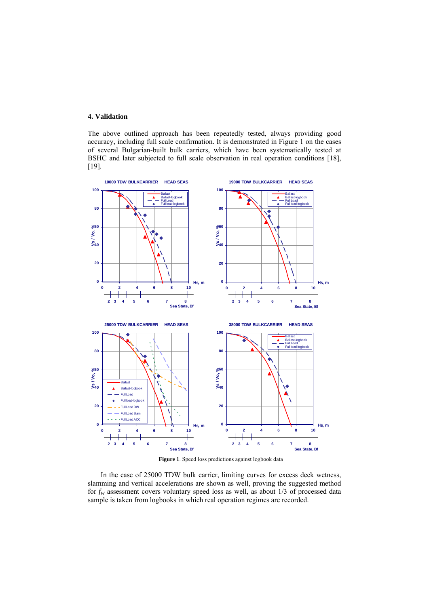## **4. Validation**

The above outlined approach has been repeatedly tested, always providing good accuracy, including full scale confirmation. It is demonstrated in Figure 1 on the cases of several Bulgarian-built bulk carriers, which have been systematically tested at BSHC and later subjected to full scale observation in real operation conditions [18], [19].



**Figure 1**. Speed loss predictions against logbook data

In the case of 25000 TDW bulk carrier, limiting curves for excess deck wetness, slamming and vertical accelerations are shown as well, proving the suggested method for  $f_W$  assessment covers voluntary speed loss as well, as about  $1/3$  of processed data sample is taken from logbooks in which real operation regimes are recorded.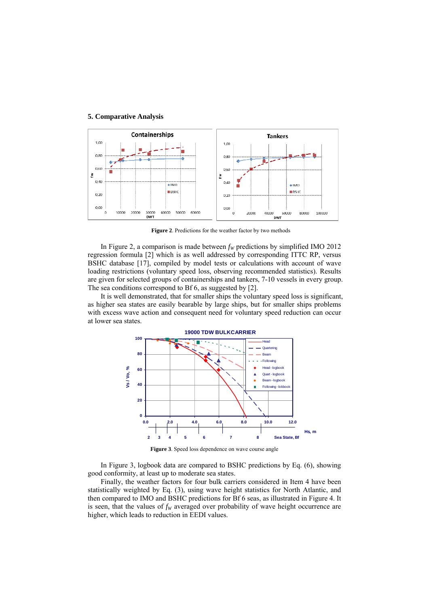## **5. Comparative Analysis**



**Figure 2**. Predictions for the weather factor by two methods

In Figure 2, a comparison is made between  $f_W$  predictions by simplified IMO 2012 regression formula [2] which is as well addressed by corresponding ITTC RP, versus BSHC database [17], compiled by model tests or calculations with account of wave loading restrictions (voluntary speed loss, observing recommended statistics). Results are given for selected groups of containerships and tankers, 7-10 vessels in every group. The sea conditions correspond to Bf 6, as suggested by [2].

It is well demonstrated, that for smaller ships the voluntary speed loss is significant, as higher sea states are easily bearable by large ships, but for smaller ships problems with excess wave action and consequent need for voluntary speed reduction can occur at lower sea states.



**Figure 3**. Speed loss dependence on wave course angle

In Figure 3, logbook data are compared to BSHC predictions by Eq. (6), showing good conformity, at least up to moderate sea states.

Finally, the weather factors for four bulk carriers considered in Item 4 have been statistically weighted by Eq. (3), using wave height statistics for North Atlantic, and then compared to IMO and BSHC predictions for Bf 6 seas, as illustrated in Figure 4. It is seen, that the values of  $f_W$  averaged over probability of wave height occurrence are higher, which leads to reduction in EEDI values.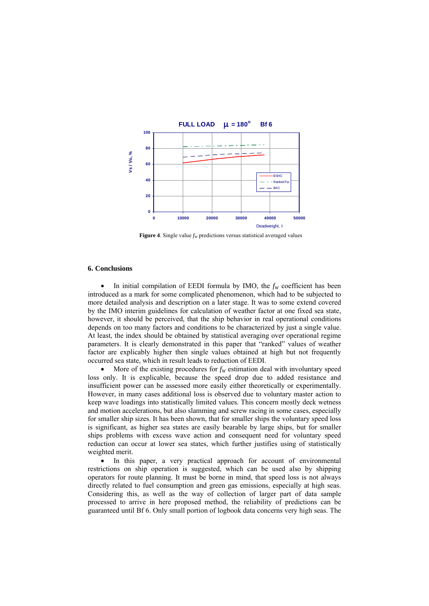

**Figure 4**. Single value  $f_W$  predictions versus statistical averaged values

## **6. Conclusions**

In initial compilation of EEDI formula by IMO, the  $f_W$  coefficient has been introduced as a mark for some complicated phenomenon, which had to be subjected to more detailed analysis and description on a later stage. It was to some extend covered by the IMO interim guidelines for calculation of weather factor at one fixed sea state, however, it should be perceived, that the ship behavior in real operational conditions depends on too many factors and conditions to be characterized by just a single value. At least, the index should be obtained by statistical averaging over operational regime parameters. It is clearly demonstrated in this paper that "ranked" values of weather factor are explicably higher then single values obtained at high but not frequently occurred sea state, which in result leads to reduction of EEDI.

More of the existing procedures for  $f_W$  estimation deal with involuntary speed loss only. It is explicable, because the speed drop due to added resistance and insufficient power can be assessed more easily either theoretically or experimentally. However, in many cases additional loss is observed due to voluntary master action to keep wave loadings into statistically limited values. This concern mostly deck wetness and motion accelerations, but also slamming and screw racing in some cases, especially for smaller ship sizes. It has been shown, that for smaller ships the voluntary speed loss is significant, as higher sea states are easily bearable by large ships, but for smaller ships problems with excess wave action and consequent need for voluntary speed reduction can occur at lower sea states, which further justifies using of statistically weighted merit.

In this paper, a very practical approach for account of environmental restrictions on ship operation is suggested, which can be used also by shipping operators for route planning. It must be borne in mind, that speed loss is not always directly related to fuel consumption and green gas emissions, especially at high seas. Considering this, as well as the way of collection of larger part of data sample processed to arrive in here proposed method, the reliability of predictions can be guaranteed until Bf 6. Only small portion of logbook data concerns very high seas. The